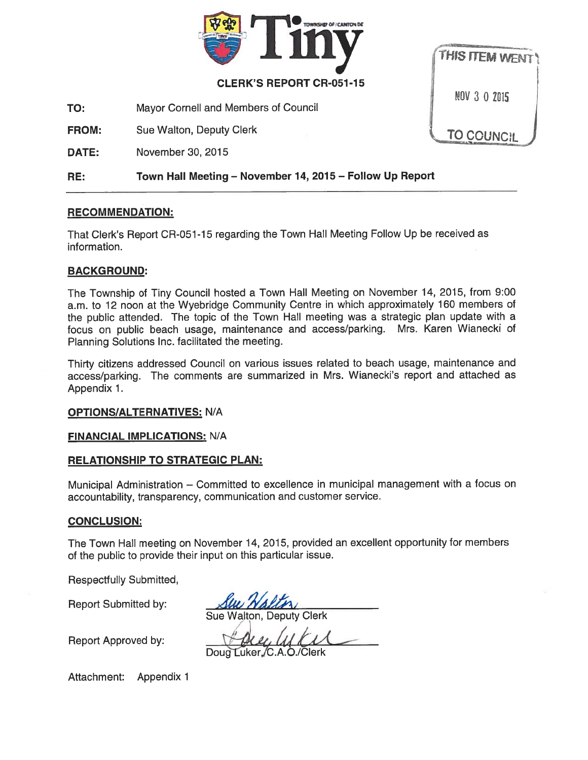

#### CLERK'S REPORT CR-051-15

TO: Mayor Cornell and Members of Council

FROM: Sue Walton, Deputy Clerk

DATE: November 30, 2015



### RE: Town Hall Meeting — November 14, 2015 — Follow Up Report

### RECOMMENDATION:

That Clerk's Report CR-051-15 regarding the Town Hall Meeting Follow Up be received as information.

### BACKGROUND:

The Township of Tiny Council hosted <sup>a</sup> Town Hall Meeting on November 14, 2015, from 9:00 a.m. to <sup>12</sup> noon at the Wyebridge Community Centre in which approximately <sup>160</sup> members of the public attended. The topic of the Town Hall meeting was <sup>a</sup> strategic <sup>p</sup>lan update with <sup>a</sup> focus on public beach usage, maintenance and access/parking. Mrs. Karen Wianecki of Planning Solutions Inc. facilitated the meeting.

Thirty citizens addressed Council on various issues related to beach usage, maintenance and access/parking. The comments are summarized in Mrs. Wianecki's repor<sup>t</sup> and attached as Appendix 1.

### **OPTIONS/ALTERNATIVES: N/A**

### FINANCIAL IMPLICATIONS: N/A

### RELATIONSHIP TO STRATEGIC PLAN:

Municipal Administration — Committed to excellence in municipal managemen<sup>t</sup> with <sup>a</sup> focus on accountability, transparency, communication and customer service.

### CONCLUSION:

The Town Hall meeting on November 14, 2015, provided an excellent opportunity for members of the public to provide their input on this particular issue.

Respectfully Submitted,

Report Submiffed by:

*HALLA* Sue Walton, Deputy Clerk

Report Approved by:

**COLL, ULCU**<br>Doug Luker, C.A.O./Clerk

Attachment: Appendix 1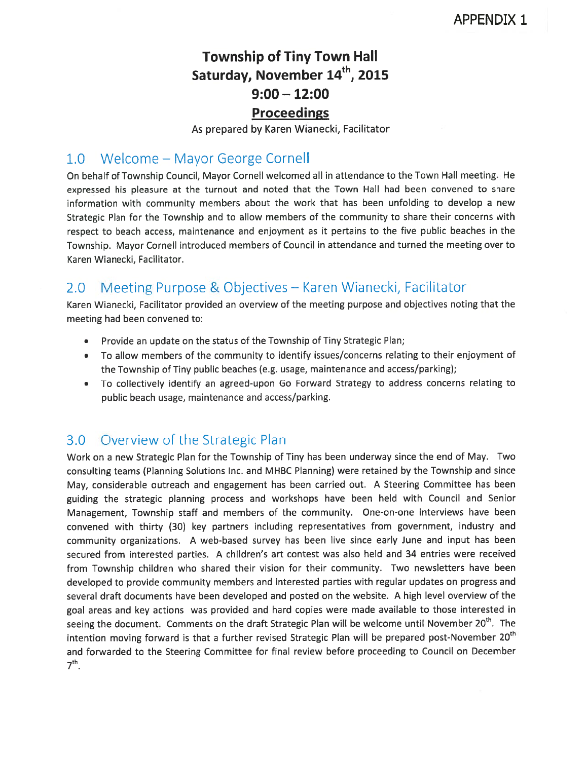# Township of Tiny Town Hall Saturday, November 14<sup>th</sup>, 2015 9:00 — 12:00 Proceedings

As prepared by Karen Wianecki, Facilitator

# 1.0 Welcome — Mayor George Cornell

On behalf of Township Council, Mayor Cornell welcomed all in attendance to the Town Hall meeting. He expresse<sup>d</sup> his <sup>p</sup>leasure at the turnout and noted that the Town Hall had been convened to share information with community members about the work that has been unfolding to develop <sup>a</sup> new Strategic Plan for the Township and to allow members of the community to share their concerns with respec<sup>t</sup> to beach access, maintenance and enjoyment as it pertains to the five public beaches in the Township. Mayor Cornell introduced members of Council in attendance and turned the meeting over to Karen Wianecki, Facilitator.

# 2.0 Meeting Purpose & Objectives — Karen Wianecki, Facilitator

Karen Wianecki, Facilitator provided an overview of the meeting purpose and objectives noting that the meeting had been convened to:

- •Provide an update on the status of the Township of Tiny Strategic Plan;
- • To allow members of the community to identify issues/concerns relating to their enjoyment of the Township of Tiny public beaches (e.g. usage, maintenance and access/parking);
- To collectively identify an agreed-upon Go Forward Strategy to address concerns relating to public beach usage, maintenance and access/parking.

## 3.0 Overview of the Strategic Plan

Work on <sup>a</sup> new Strategic Plan for the Township of Tiny has been underway since the end of May. Two consulting teams (Planning Solutions Inc. and MHBC Planning) were retained by the Township and since May, considerable outreach and engagemen<sup>t</sup> has been carried out. <sup>A</sup> Steering Committee has been guiding the strategic <sup>p</sup>lanning process and workshops have been held with Council and Senior Management, Township staff and members of the community. One-on-one interviews have been convened with thirty (30) key partners including representatives from government, industry and community organizations. <sup>A</sup> web-based survey has been live since early June and input has been secured from interested parties. <sup>A</sup> children's art contest was also held and <sup>34</sup> entries were received from Township children who shared their vision for their community. Two newsletters have been developed to provide community members and interested parties with regular updates on progress and several draft documents have been developed and posted on the website. A high level overview of the goa<sup>l</sup> areas and key actions was provided and hard copies were made available to those interested in seeing the document. Comments on the draft Strategic Plan will be welcome until November 20<sup>th</sup>. The intention moving forward is that a further revised Strategic Plan will be prepared post-November 20<sup>th</sup> and forwarded to the Steering Committee for final review before proceeding to Council on December  $7<sup>th</sup>$ .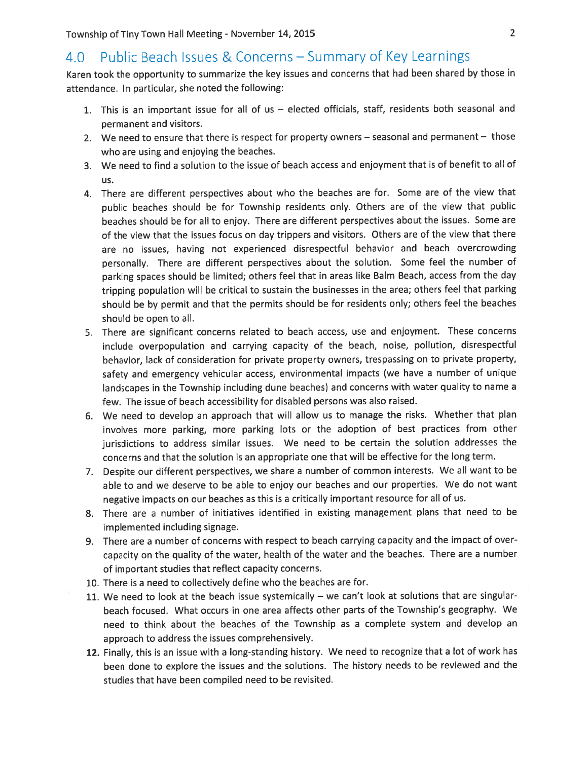## 4.0 Public Beach Issues & Concerns - Summary of Key Learnings

Karen took the opportunity to summarize the key issues and concerns that had been shared by those in attendance. In particular, she noted the following:

- 1. This is an important issue for all of us elected officials, staff, residents both seasonal and permanen<sup>t</sup> and visitors.
- 2. We need to ensure that there is respec<sup>t</sup> for property owners seasonal and permanen<sup>t</sup> those who are using and enjoying the beaches.
- 3. We need to find <sup>a</sup> solution to the issue of beach access and enjoyment that is of benefit to all of us.
- 4. There are different perspectives about who the beaches are for. Some are of the view that public beaches should be for Township residents only. Others are of the view that public beaches should be for all to enjoy. There are different perspectives about the issues. Some are of the view that the issues focus on day trippers and visitors. Others are of the view that there are no issues, having not experienced disrespectful behavior and beach overcrowding personally. There are different perspectives about the solution. Some feel the number of parking spaces should be limited; others feel that in areas like Balm Beach, access from the day tripping population will be critical to sustain the businesses in the area; others feel that parking should be by permit and that the permits should be for residents only; others feel the beaches should be open to all.
- 5. There are significant concerns related to beach access, use and enjoyment. These concerns include overpopulation and carrying capacity of the beach, noise, pollution, disrespectful behavior, lack of consideration for private property owners, trespassing on to private property, safety and emergency vehicular access, environmental impacts (we have <sup>a</sup> number of unique landscapes in the Township including dune beaches) and concerns with water quality to name <sup>a</sup> few. The issue of beach accessibility for disabled persons was also raised.
- 6. We need to develop an approac<sup>h</sup> that will allow us to manage the risks. Whether that <sup>p</sup>lan involves more parking, more parking lots or the adoption of best practices from other jurisdictions to address similar issues. We need to be certain the solution addresses the concerns and that the solution is an appropriate one that will be effective for the long term.
- 7. Despite our different perspectives, we share <sup>a</sup> number of common interests. We all want to be able to and we deserve to be able to enjoy our beaches and our properties. We do not want negative impacts on our beaches as this is <sup>a</sup> critically important resource for all of us.
- 8. There are <sup>a</sup> number of initiatives identified in existing managemen<sup>t</sup> <sup>p</sup>lans that need to be implemented including signage.
- 9. There are <sup>a</sup> number of concerns with respec<sup>t</sup> to beach carrying capacity and the impact of over capacity on the quality of the water, health of the water and the beaches. There are <sup>a</sup> number of important studies that reflect capacity concerns.
- 10. There is <sup>a</sup> need to collectively define who the beaches are for.
- 11. We need to look at the beach issue systemically we can't look at solutions that are singular beach focused. What occurs in one area affects other parts of the Township's geography. We need to think about the beaches of the Township as <sup>a</sup> complete system and develop an approach to address the issues comprehensively.
- 12. Finally, this is an issue with <sup>a</sup> long-standing history. We need to recognize that <sup>a</sup> lot of work has been done to explore the issues and the solutions. The history needs to be reviewed and the studies that have been compiled need to be revisited.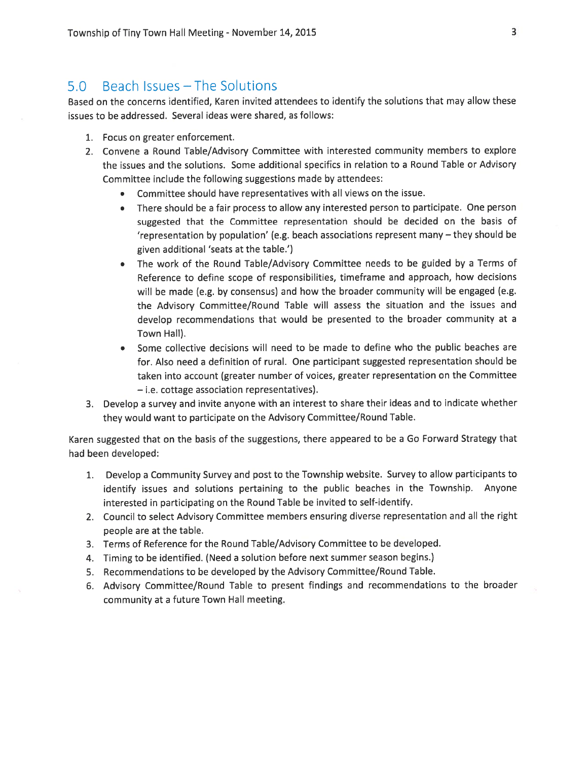### 5.0 Beach Issues — The Solutions

Based on the concerns identified, Karen invited attendees to identify the solutions that may allow these issues to be addressed. Several ideas were shared, as follows:

- 1. Focus on greater enforcement.
- 2. Convene <sup>a</sup> Round Table/Advisory Committee with interested community members to explore the issues and the solutions. Some additional specifics in relation to <sup>a</sup> Round Table or Advisory Committee include the following suggestions made by attendees:
	- Committee should have representatives with all views on the issue.
	- There should be <sup>a</sup> fair process to allow any interested person to participate. One person suggested that the Committee representation should be decided on the basis of 'representation by population' (e.g. beach associations represen<sup>t</sup> many — they should be given additional 'seats at the table.')
	- The work of the Round Table/Advisory Committee needs to be guided by <sup>a</sup> Terms of Reference to define scope of responsibilities, timeframe and approach, how decisions will be made (e.g. by consensus) and how the broader community will be engage<sup>d</sup> (e.g. the Advisory Committee/Round Table will assess the situation and the issues and develop recommendations that would be presented to the broader community at <sup>a</sup> Town Hall).
	- Some collective decisions will need to be made to define who the public beaches are for. Also need <sup>a</sup> definition of rural. One participant suggested representation should be taken into account (greater number of voices, greater representation on the Committee — i.e. cottage association representatives).
- 3. Develop <sup>a</sup> survey and invite anyone with an interest to share their ideas and to indicate whether they would want to participate on the Advisory Committee/Round Table.

Karen suggested that on the basis of the suggestions, there appeare<sup>d</sup> to be <sup>a</sup> Go Forward Strategy that had been developed:

- 1. Develop <sup>a</sup> Community Survey and pos<sup>t</sup> to the Township website. Survey to allow participants to identify issues and solutions pertaining to the public beaches in the Township. Anyone interested in participating on the Round Table be invited to self-identify.
- 2. Council to select Advisory Committee members ensuring diverse representation and all the right people are at the table.
- 3. Terms of Reference for the Round Table/Advisory Committee to be developed.
- 4. Timing to be identified. (Need <sup>a</sup> solution before next summer season begins.)
- 5. Recommendations to be developed by the Advisory Committee/Round Table.
- 6. Advisory Committee/Round Table to presen<sup>t</sup> findings and recommendations to the broader community at <sup>a</sup> future Town Hall meeting.